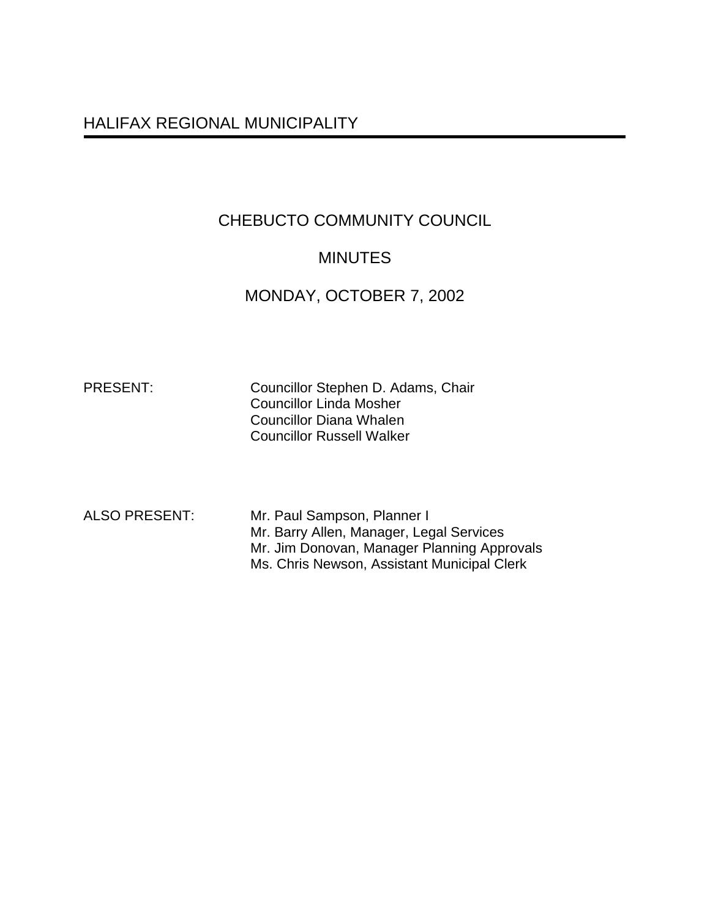# HALIFAX REGIONAL MUNICIPALITY

# CHEBUCTO COMMUNITY COUNCIL

# **MINUTES**

# MONDAY, OCTOBER 7, 2002

PRESENT: Councillor Stephen D. Adams, Chair Councillor Linda Mosher Councillor Diana Whalen Councillor Russell Walker

ALSO PRESENT: Mr. Paul Sampson, Planner I Mr. Barry Allen, Manager, Legal Services Mr. Jim Donovan, Manager Planning Approvals Ms. Chris Newson, Assistant Municipal Clerk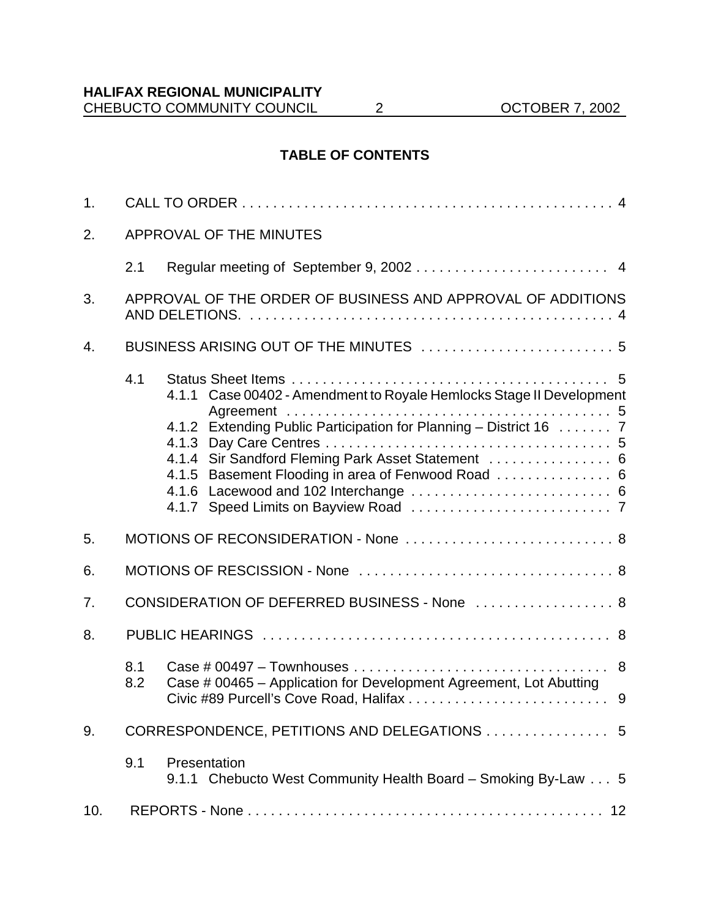# **TABLE OF CONTENTS**

| 1.  |                                                             |                                                                                                                                                                                                                                                        |  |
|-----|-------------------------------------------------------------|--------------------------------------------------------------------------------------------------------------------------------------------------------------------------------------------------------------------------------------------------------|--|
| 2.  |                                                             | APPROVAL OF THE MINUTES                                                                                                                                                                                                                                |  |
|     | 2.1                                                         |                                                                                                                                                                                                                                                        |  |
| 3.  | APPROVAL OF THE ORDER OF BUSINESS AND APPROVAL OF ADDITIONS |                                                                                                                                                                                                                                                        |  |
| 4.  |                                                             | BUSINESS ARISING OUT OF THE MINUTES  5                                                                                                                                                                                                                 |  |
|     | 4.1                                                         | 4.1.1 Case 00402 - Amendment to Royale Hemlocks Stage II Development<br>4.1.2 Extending Public Participation for Planning - District 16  7<br>4.1.4 Sir Sandford Fleming Park Asset Statement  6<br>4.1.5 Basement Flooding in area of Fenwood Road  6 |  |
| 5.  |                                                             | MOTIONS OF RECONSIDERATION - None  8                                                                                                                                                                                                                   |  |
| 6.  |                                                             |                                                                                                                                                                                                                                                        |  |
| 7.  | CONSIDERATION OF DEFERRED BUSINESS - None  8                |                                                                                                                                                                                                                                                        |  |
| 8.  |                                                             |                                                                                                                                                                                                                                                        |  |
|     | 8.1<br>8.2                                                  | Case # 00465 - Application for Development Agreement, Lot Abutting                                                                                                                                                                                     |  |
| 9.  |                                                             | CORRESPONDENCE, PETITIONS AND DELEGATIONS  5                                                                                                                                                                                                           |  |
|     | 9.1                                                         | Presentation<br>9.1.1 Chebucto West Community Health Board - Smoking By-Law 5                                                                                                                                                                          |  |
| 10. |                                                             |                                                                                                                                                                                                                                                        |  |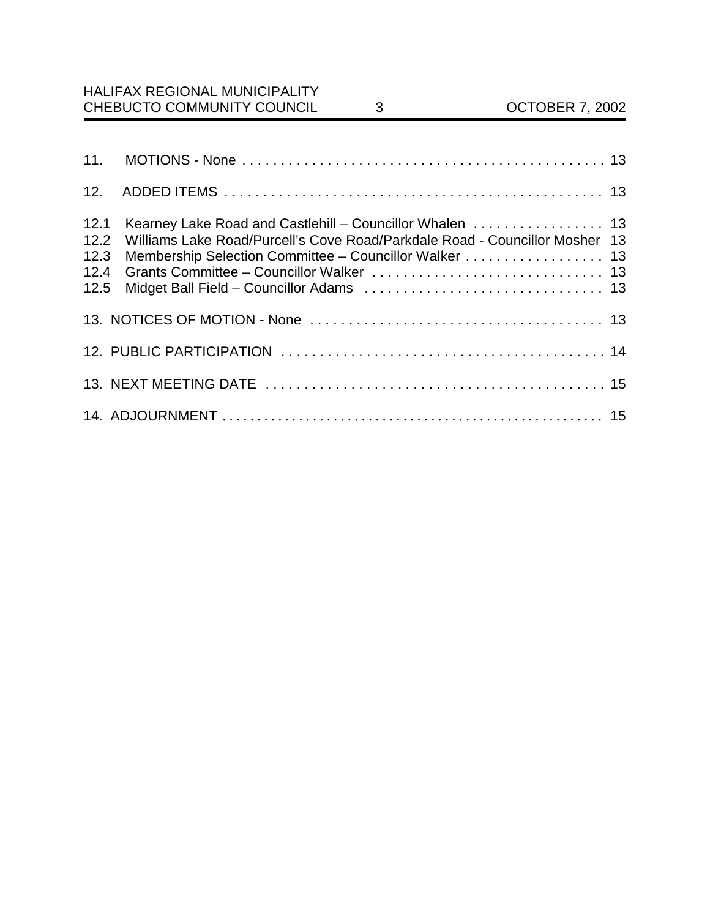| 12.                                  |                                                                                                                                                                                                   |  |
|--------------------------------------|---------------------------------------------------------------------------------------------------------------------------------------------------------------------------------------------------|--|
| 12.1<br>12.2<br>12.3<br>12.4<br>12.5 | Kearney Lake Road and Castlehill - Councillor Whalen  13<br>Williams Lake Road/Purcell's Cove Road/Parkdale Road - Councillor Mosher 13<br>Membership Selection Committee - Councillor Walker  13 |  |
|                                      |                                                                                                                                                                                                   |  |
|                                      |                                                                                                                                                                                                   |  |
|                                      |                                                                                                                                                                                                   |  |
|                                      |                                                                                                                                                                                                   |  |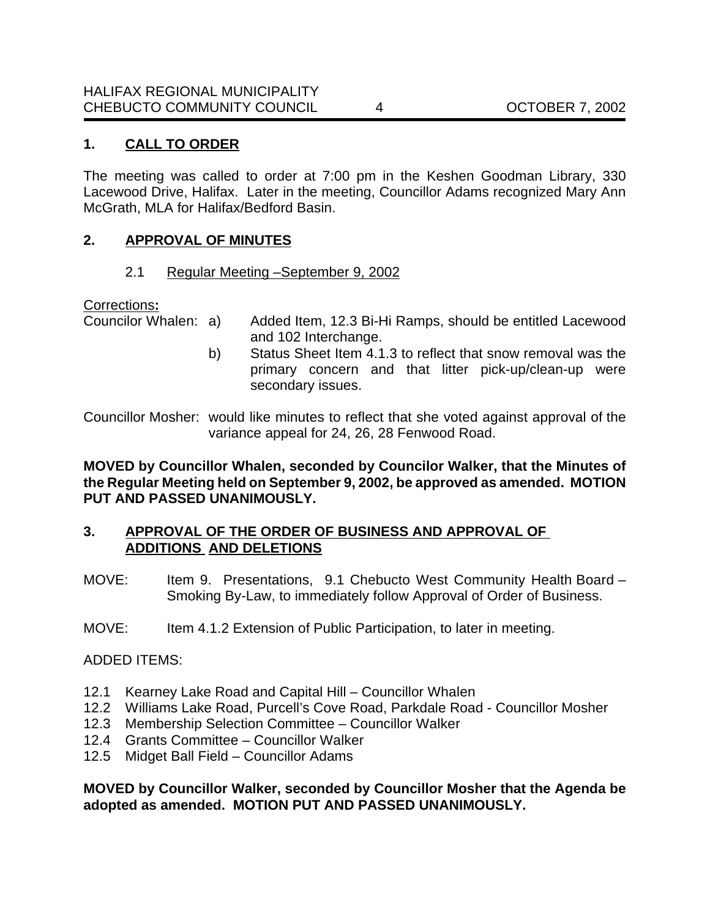## **1. CALL TO ORDER**

The meeting was called to order at 7:00 pm in the Keshen Goodman Library, 330 Lacewood Drive, Halifax. Later in the meeting, Councillor Adams recognized Mary Ann McGrath, MLA for Halifax/Bedford Basin.

### **2. APPROVAL OF MINUTES**

2.1 Regular Meeting –September 9, 2002

Corrections**:**

- Councilor Whalen: a) Added Item, 12.3 Bi-Hi Ramps, should be entitled Lacewood and 102 Interchange.
	- b) Status Sheet Item 4.1.3 to reflect that snow removal was the primary concern and that litter pick-up/clean-up were secondary issues.

Councillor Mosher: would like minutes to reflect that she voted against approval of the variance appeal for 24, 26, 28 Fenwood Road.

**MOVED by Councillor Whalen, seconded by Councilor Walker, that the Minutes of the Regular Meeting held on September 9, 2002, be approved as amended. MOTION PUT AND PASSED UNANIMOUSLY.**

### **3. APPROVAL OF THE ORDER OF BUSINESS AND APPROVAL OF ADDITIONS AND DELETIONS**

- MOVE: Item 9. Presentations, 9.1 Chebucto West Community Health Board Smoking By-Law, to immediately follow Approval of Order of Business.
- MOVE: Item 4.1.2 Extension of Public Participation, to later in meeting.

ADDED ITEMS:

- 12.1 Kearney Lake Road and Capital Hill Councillor Whalen
- 12.2 Williams Lake Road, Purcell's Cove Road, Parkdale Road Councillor Mosher
- 12.3 Membership Selection Committee Councillor Walker
- 12.4 Grants Committee Councillor Walker
- 12.5 Midget Ball Field Councillor Adams

**MOVED by Councillor Walker, seconded by Councillor Mosher that the Agenda be adopted as amended. MOTION PUT AND PASSED UNANIMOUSLY.**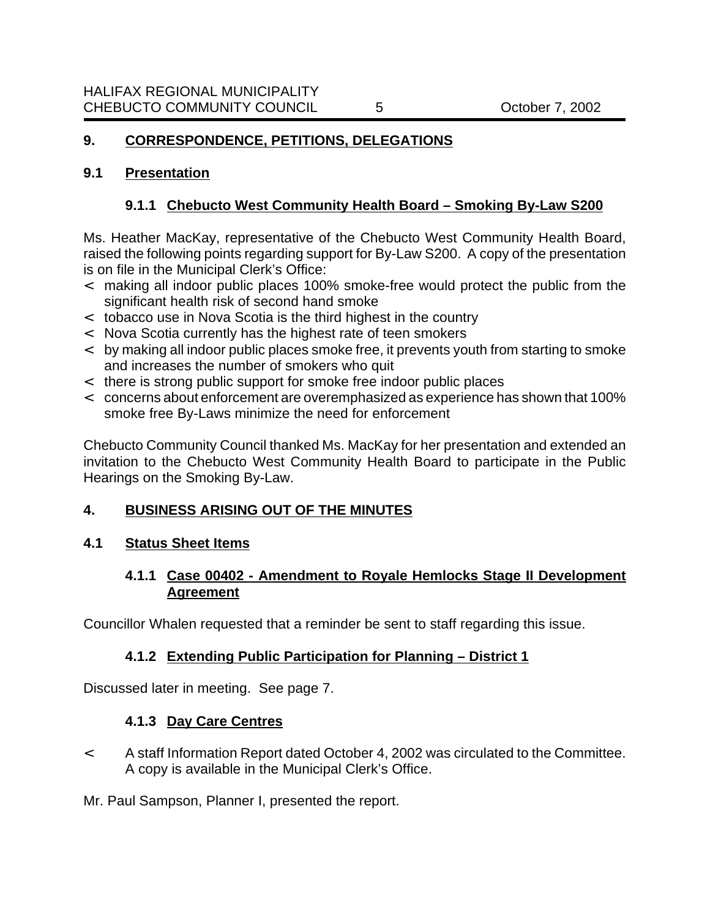# **9. CORRESPONDENCE, PETITIONS, DELEGATIONS**

### **9.1 Presentation**

# **9.1.1 Chebucto West Community Health Board – Smoking By-Law S200**

Ms. Heather MacKay, representative of the Chebucto West Community Health Board, raised the following points regarding support for By-Law S200. A copy of the presentation is on file in the Municipal Clerk's Office:

- < making all indoor public places 100% smoke-free would protect the public from the significant health risk of second hand smoke
- < tobacco use in Nova Scotia is the third highest in the country
- < Nova Scotia currently has the highest rate of teen smokers
- < by making all indoor public places smoke free, it prevents youth from starting to smoke and increases the number of smokers who quit
- < there is strong public support for smoke free indoor public places
- < concerns about enforcement are overemphasized as experience has shown that 100% smoke free By-Laws minimize the need for enforcement

Chebucto Community Council thanked Ms. MacKay for her presentation and extended an invitation to the Chebucto West Community Health Board to participate in the Public Hearings on the Smoking By-Law.

# **4. BUSINESS ARISING OUT OF THE MINUTES**

### **4.1 Status Sheet Items**

# **4.1.1 Case 00402 - Amendment to Royale Hemlocks Stage II Development Agreement**

Councillor Whalen requested that a reminder be sent to staff regarding this issue.

# **4.1.2 Extending Public Participation for Planning – District 1**

Discussed later in meeting. See page 7.

# **4.1.3 Day Care Centres**

< A staff Information Report dated October 4, 2002 was circulated to the Committee. A copy is available in the Municipal Clerk's Office.

Mr. Paul Sampson, Planner I, presented the report.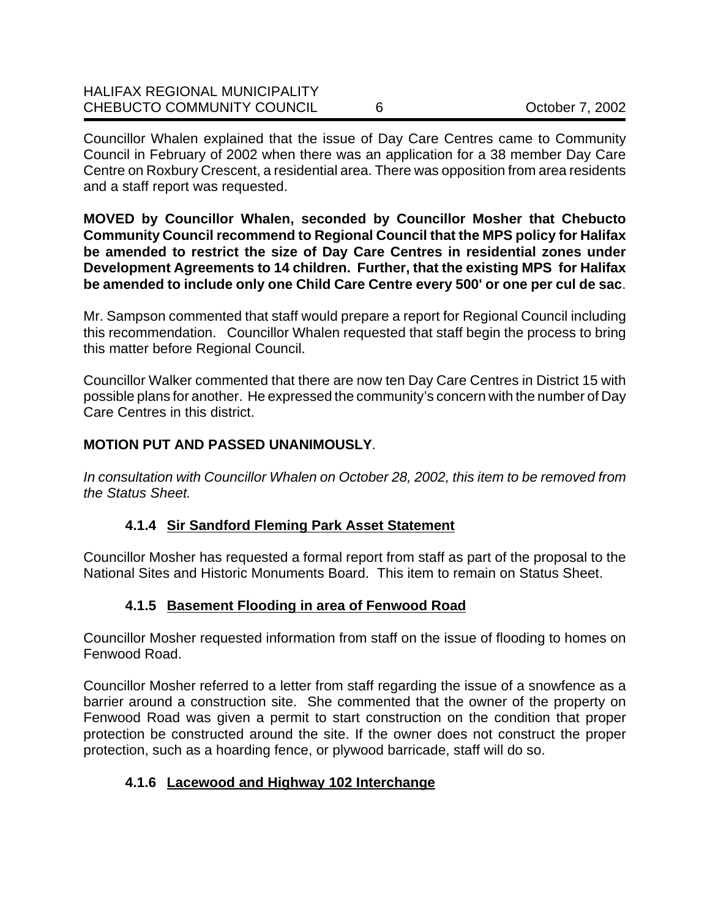| <b>HALIFAX REGIONAL MUNICIPALITY</b> |                 |
|--------------------------------------|-----------------|
| <b>CHEBUCTO COMMUNITY COUNCIL</b>    | October 7, 2002 |

Councillor Whalen explained that the issue of Day Care Centres came to Community Council in February of 2002 when there was an application for a 38 member Day Care Centre on Roxbury Crescent, a residential area. There was opposition from area residents and a staff report was requested.

**MOVED by Councillor Whalen, seconded by Councillor Mosher that Chebucto Community Council recommend to Regional Council that the MPS policy for Halifax be amended to restrict the size of Day Care Centres in residential zones under Development Agreements to 14 children. Further, that the existing MPS for Halifax be amended to include only one Child Care Centre every 500' or one per cul de sac**.

Mr. Sampson commented that staff would prepare a report for Regional Council including this recommendation. Councillor Whalen requested that staff begin the process to bring this matter before Regional Council.

Councillor Walker commented that there are now ten Day Care Centres in District 15 with possible plans for another. He expressed the community's concern with the number of Day Care Centres in this district.

# **MOTION PUT AND PASSED UNANIMOUSLY**.

*In consultation with Councillor Whalen on October 28, 2002, this item to be removed from the Status Sheet.*

# **4.1.4 Sir Sandford Fleming Park Asset Statement**

Councillor Mosher has requested a formal report from staff as part of the proposal to the National Sites and Historic Monuments Board. This item to remain on Status Sheet.

# **4.1.5 Basement Flooding in area of Fenwood Road**

Councillor Mosher requested information from staff on the issue of flooding to homes on Fenwood Road.

Councillor Mosher referred to a letter from staff regarding the issue of a snowfence as a barrier around a construction site. She commented that the owner of the property on Fenwood Road was given a permit to start construction on the condition that proper protection be constructed around the site. If the owner does not construct the proper protection, such as a hoarding fence, or plywood barricade, staff will do so.

# **4.1.6 Lacewood and Highway 102 Interchange**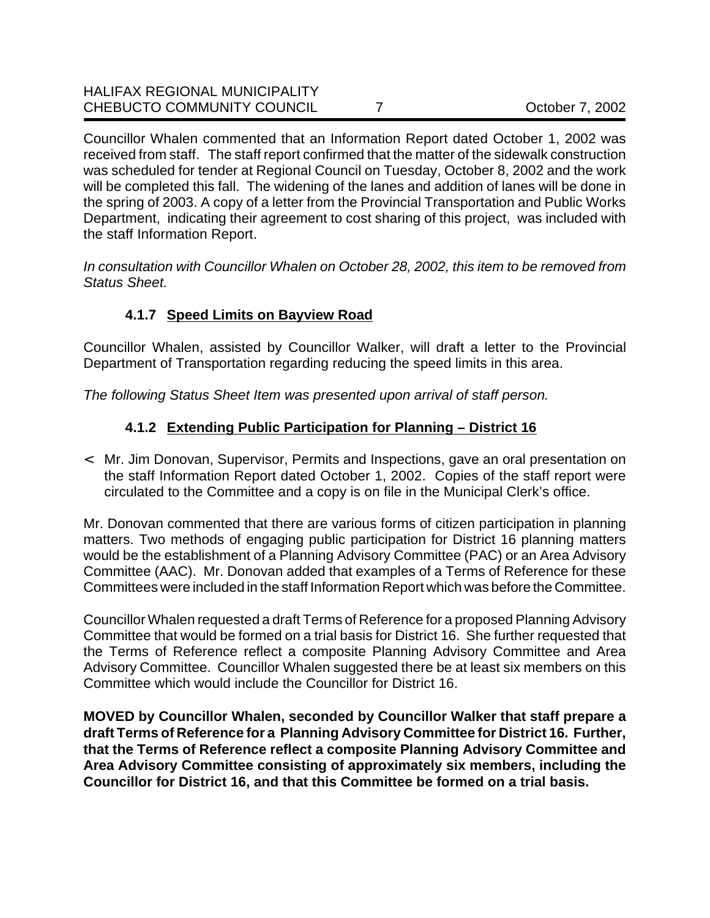Councillor Whalen commented that an Information Report dated October 1, 2002 was received from staff. The staff report confirmed that the matter of the sidewalk construction was scheduled for tender at Regional Council on Tuesday, October 8, 2002 and the work will be completed this fall. The widening of the lanes and addition of lanes will be done in the spring of 2003. A copy of a letter from the Provincial Transportation and Public Works Department, indicating their agreement to cost sharing of this project, was included with the staff Information Report.

*In consultation with Councillor Whalen on October 28, 2002, this item to be removed from Status Sheet.*

# **4.1.7 Speed Limits on Bayview Road**

Councillor Whalen, assisted by Councillor Walker, will draft a letter to the Provincial Department of Transportation regarding reducing the speed limits in this area.

*The following Status Sheet Item was presented upon arrival of staff person.*

# **4.1.2 Extending Public Participation for Planning – District 16**

< Mr. Jim Donovan, Supervisor, Permits and Inspections, gave an oral presentation on the staff Information Report dated October 1, 2002. Copies of the staff report were circulated to the Committee and a copy is on file in the Municipal Clerk's office.

Mr. Donovan commented that there are various forms of citizen participation in planning matters. Two methods of engaging public participation for District 16 planning matters would be the establishment of a Planning Advisory Committee (PAC) or an Area Advisory Committee (AAC). Mr. Donovan added that examples of a Terms of Reference for these Committees were included in the staff Information Report which was before the Committee.

Councillor Whalen requested a draft Terms of Reference for a proposed Planning Advisory Committee that would be formed on a trial basis for District 16. She further requested that the Terms of Reference reflect a composite Planning Advisory Committee and Area Advisory Committee. Councillor Whalen suggested there be at least six members on this Committee which would include the Councillor for District 16.

**MOVED by Councillor Whalen, seconded by Councillor Walker that staff prepare a draft Terms of Reference for a Planning Advisory Committee for District 16. Further, that the Terms of Reference reflect a composite Planning Advisory Committee and Area Advisory Committee consisting of approximately six members, including the Councillor for District 16, and that this Committee be formed on a trial basis.**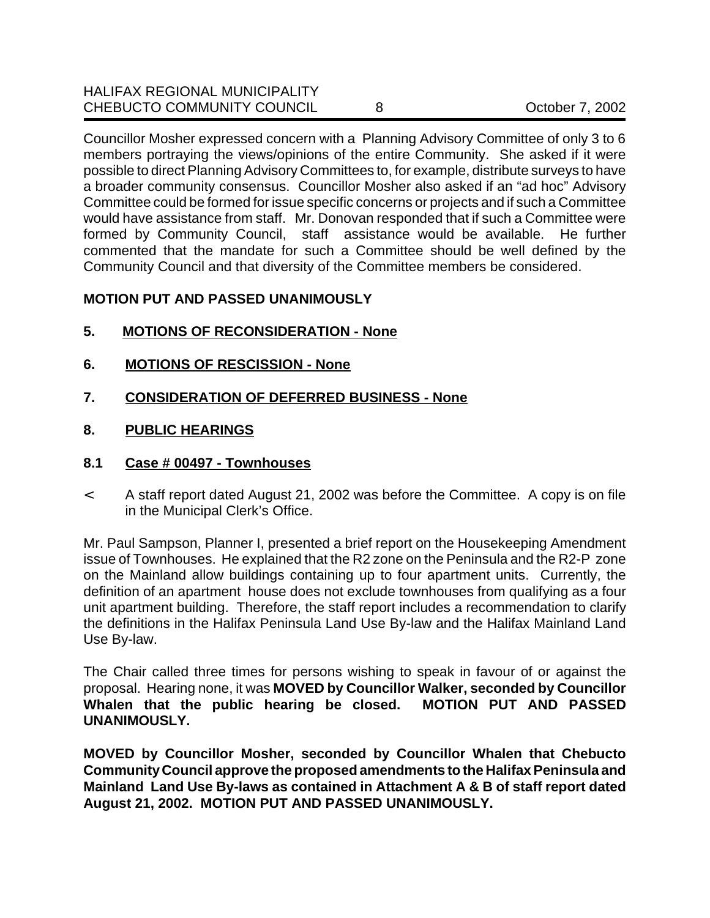| <b>HALIFAX REGIONAL MUNICIPALITY</b> |                 |
|--------------------------------------|-----------------|
| CHEBUCTO COMMUNITY COUNCIL           | October 7, 2002 |

Councillor Mosher expressed concern with a Planning Advisory Committee of only 3 to 6 members portraying the views/opinions of the entire Community. She asked if it were possible to direct Planning Advisory Committees to, for example, distribute surveys to have a broader community consensus. Councillor Mosher also asked if an "ad hoc" Advisory Committee could be formed for issue specific concerns or projects and if such a Committee would have assistance from staff. Mr. Donovan responded that if such a Committee were formed by Community Council, staff assistance would be available. He further commented that the mandate for such a Committee should be well defined by the Community Council and that diversity of the Committee members be considered.

### **MOTION PUT AND PASSED UNANIMOUSLY**

- **5. MOTIONS OF RECONSIDERATION None**
- **6. MOTIONS OF RESCISSION None**
- **7. CONSIDERATION OF DEFERRED BUSINESS None**
- **8. PUBLIC HEARINGS**
- **8.1 Case # 00497 Townhouses**
- < A staff report dated August 21, 2002 was before the Committee. A copy is on file in the Municipal Clerk's Office.

Mr. Paul Sampson, Planner I, presented a brief report on the Housekeeping Amendment issue of Townhouses. He explained that the R2 zone on the Peninsula and the R2-P zone on the Mainland allow buildings containing up to four apartment units. Currently, the definition of an apartment house does not exclude townhouses from qualifying as a four unit apartment building. Therefore, the staff report includes a recommendation to clarify the definitions in the Halifax Peninsula Land Use By-law and the Halifax Mainland Land Use By-law.

The Chair called three times for persons wishing to speak in favour of or against the proposal. Hearing none, it was **MOVED by Councillor Walker, seconded by Councillor Whalen that the public hearing be closed. MOTION PUT AND PASSED UNANIMOUSLY.**

**MOVED by Councillor Mosher, seconded by Councillor Whalen that Chebucto Community Council approve the proposed amendments to the Halifax Peninsula and Mainland Land Use By-laws as contained in Attachment A & B of staff report dated August 21, 2002. MOTION PUT AND PASSED UNANIMOUSLY.**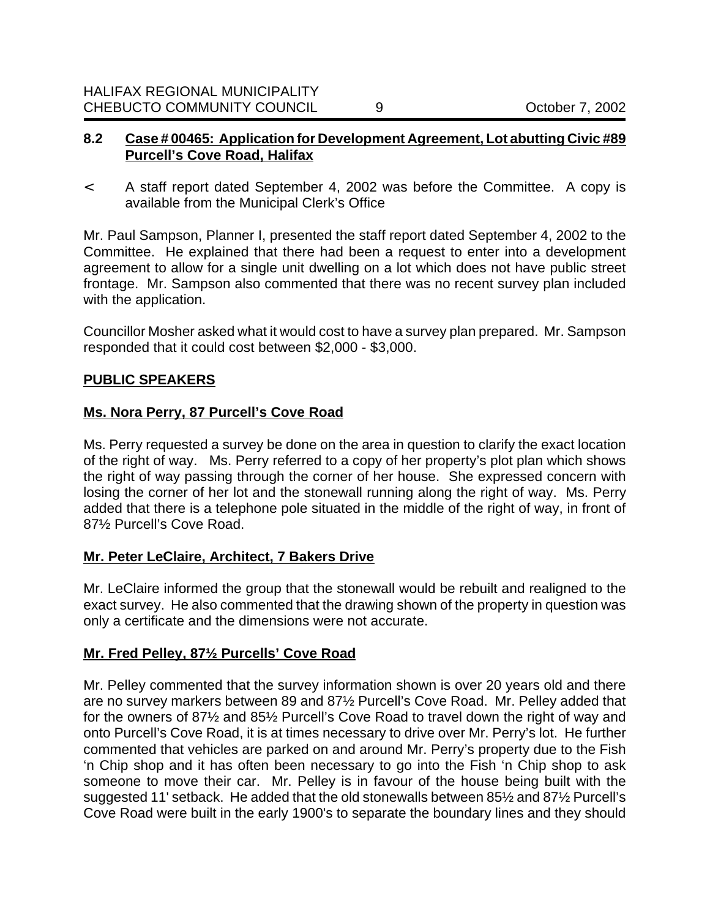#### **8.2 Case # 00465: Application for Development Agreement, Lot abutting Civic #89 Purcell's Cove Road, Halifax**

< A staff report dated September 4, 2002 was before the Committee. A copy is available from the Municipal Clerk's Office

Mr. Paul Sampson, Planner I, presented the staff report dated September 4, 2002 to the Committee. He explained that there had been a request to enter into a development agreement to allow for a single unit dwelling on a lot which does not have public street frontage. Mr. Sampson also commented that there was no recent survey plan included with the application.

Councillor Mosher asked what it would cost to have a survey plan prepared. Mr. Sampson responded that it could cost between \$2,000 - \$3,000.

### **PUBLIC SPEAKERS**

#### **Ms. Nora Perry, 87 Purcell's Cove Road**

Ms. Perry requested a survey be done on the area in question to clarify the exact location of the right of way. Ms. Perry referred to a copy of her property's plot plan which shows the right of way passing through the corner of her house. She expressed concern with losing the corner of her lot and the stonewall running along the right of way. Ms. Perry added that there is a telephone pole situated in the middle of the right of way, in front of 87½ Purcell's Cove Road.

### **Mr. Peter LeClaire, Architect, 7 Bakers Drive**

Mr. LeClaire informed the group that the stonewall would be rebuilt and realigned to the exact survey. He also commented that the drawing shown of the property in question was only a certificate and the dimensions were not accurate.

### **Mr. Fred Pelley, 87½ Purcells' Cove Road**

Mr. Pelley commented that the survey information shown is over 20 years old and there are no survey markers between 89 and 87½ Purcell's Cove Road. Mr. Pelley added that for the owners of 87½ and 85½ Purcell's Cove Road to travel down the right of way and onto Purcell's Cove Road, it is at times necessary to drive over Mr. Perry's lot. He further commented that vehicles are parked on and around Mr. Perry's property due to the Fish 'n Chip shop and it has often been necessary to go into the Fish 'n Chip shop to ask someone to move their car. Mr. Pelley is in favour of the house being built with the suggested 11' setback. He added that the old stonewalls between 85½ and 87½ Purcell's Cove Road were built in the early 1900's to separate the boundary lines and they should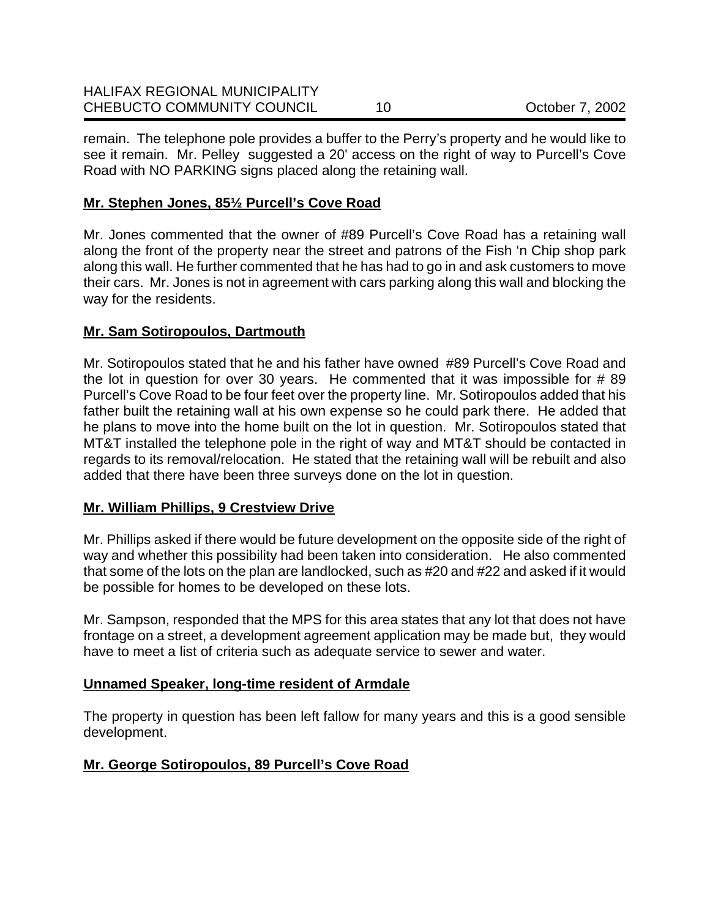| <b>HALIFAX REGIONAL MUNICIPALITY</b> |                 |
|--------------------------------------|-----------------|
| <b>CHEBUCTO COMMUNITY COUNCIL</b>    | October 7, 2002 |

remain. The telephone pole provides a buffer to the Perry's property and he would like to see it remain. Mr. Pelley suggested a 20' access on the right of way to Purcell's Cove Road with NO PARKING signs placed along the retaining wall.

### **Mr. Stephen Jones, 85½ Purcell's Cove Road**

Mr. Jones commented that the owner of #89 Purcell's Cove Road has a retaining wall along the front of the property near the street and patrons of the Fish 'n Chip shop park along this wall. He further commented that he has had to go in and ask customers to move their cars. Mr. Jones is not in agreement with cars parking along this wall and blocking the way for the residents.

#### **Mr. Sam Sotiropoulos, Dartmouth**

Mr. Sotiropoulos stated that he and his father have owned #89 Purcell's Cove Road and the lot in question for over 30 years. He commented that it was impossible for  $#89$ Purcell's Cove Road to be four feet over the property line. Mr. Sotiropoulos added that his father built the retaining wall at his own expense so he could park there. He added that he plans to move into the home built on the lot in question. Mr. Sotiropoulos stated that MT&T installed the telephone pole in the right of way and MT&T should be contacted in regards to its removal/relocation. He stated that the retaining wall will be rebuilt and also added that there have been three surveys done on the lot in question.

### **Mr. William Phillips, 9 Crestview Drive**

Mr. Phillips asked if there would be future development on the opposite side of the right of way and whether this possibility had been taken into consideration. He also commented that some of the lots on the plan are landlocked, such as #20 and #22 and asked if it would be possible for homes to be developed on these lots.

Mr. Sampson, responded that the MPS for this area states that any lot that does not have frontage on a street, a development agreement application may be made but, they would have to meet a list of criteria such as adequate service to sewer and water.

### **Unnamed Speaker, long-time resident of Armdale**

The property in question has been left fallow for many years and this is a good sensible development.

### **Mr. George Sotiropoulos, 89 Purcell's Cove Road**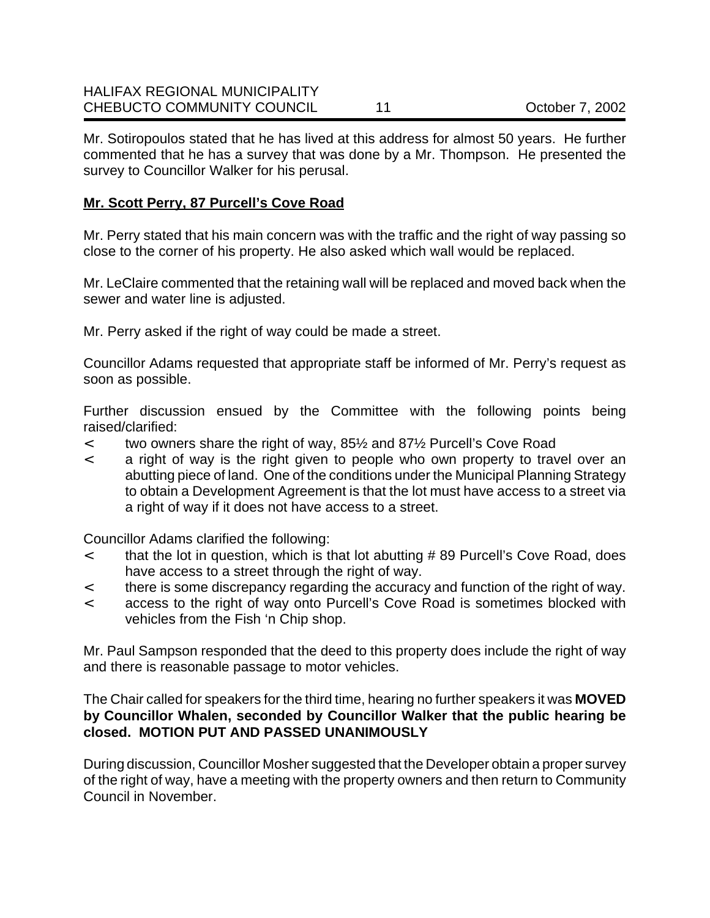Mr. Sotiropoulos stated that he has lived at this address for almost 50 years. He further commented that he has a survey that was done by a Mr. Thompson. He presented the survey to Councillor Walker for his perusal.

## **Mr. Scott Perry, 87 Purcell's Cove Road**

Mr. Perry stated that his main concern was with the traffic and the right of way passing so close to the corner of his property. He also asked which wall would be replaced.

Mr. LeClaire commented that the retaining wall will be replaced and moved back when the sewer and water line is adjusted.

Mr. Perry asked if the right of way could be made a street.

Councillor Adams requested that appropriate staff be informed of Mr. Perry's request as soon as possible.

Further discussion ensued by the Committee with the following points being raised/clarified:

- < two owners share the right of way, 85½ and 87½ Purcell's Cove Road
- < a right of way is the right given to people who own property to travel over an abutting piece of land. One of the conditions under the Municipal Planning Strategy to obtain a Development Agreement is that the lot must have access to a street via a right of way if it does not have access to a street.

Councillor Adams clarified the following:

- < that the lot in question, which is that lot abutting # 89 Purcell's Cove Road, does have access to a street through the right of way.
- < there is some discrepancy regarding the accuracy and function of the right of way.
- < access to the right of way onto Purcell's Cove Road is sometimes blocked with vehicles from the Fish 'n Chip shop.

Mr. Paul Sampson responded that the deed to this property does include the right of way and there is reasonable passage to motor vehicles.

The Chair called for speakers for the third time, hearing no further speakers it was **MOVED by Councillor Whalen, seconded by Councillor Walker that the public hearing be closed. MOTION PUT AND PASSED UNANIMOUSLY**

During discussion, Councillor Mosher suggested that the Developer obtain a proper survey of the right of way, have a meeting with the property owners and then return to Community Council in November.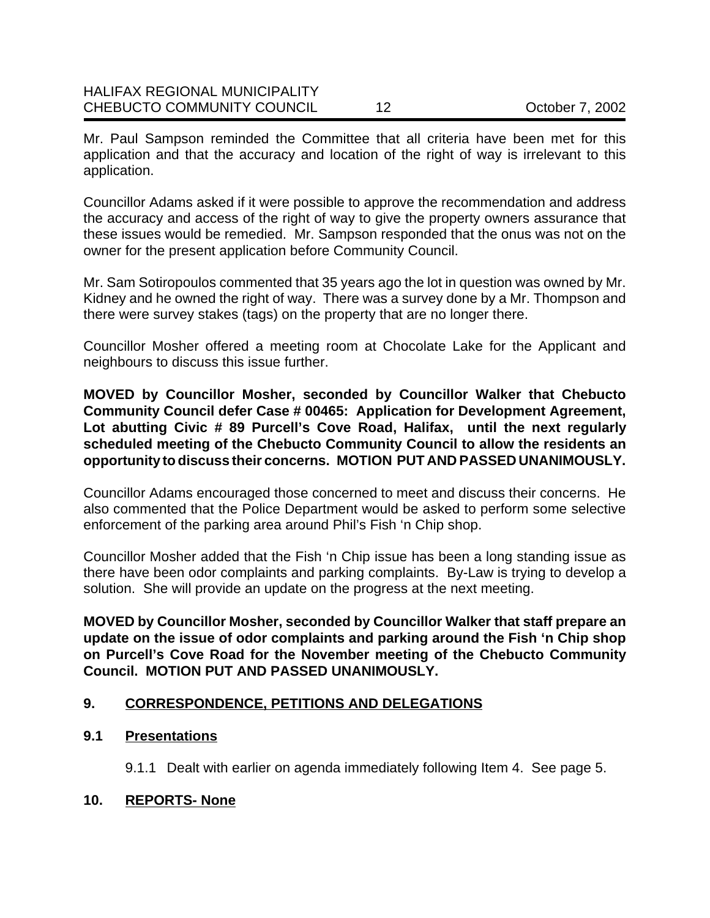Mr. Paul Sampson reminded the Committee that all criteria have been met for this application and that the accuracy and location of the right of way is irrelevant to this application.

Councillor Adams asked if it were possible to approve the recommendation and address the accuracy and access of the right of way to give the property owners assurance that these issues would be remedied. Mr. Sampson responded that the onus was not on the owner for the present application before Community Council.

Mr. Sam Sotiropoulos commented that 35 years ago the lot in question was owned by Mr. Kidney and he owned the right of way. There was a survey done by a Mr. Thompson and there were survey stakes (tags) on the property that are no longer there.

Councillor Mosher offered a meeting room at Chocolate Lake for the Applicant and neighbours to discuss this issue further.

**MOVED by Councillor Mosher, seconded by Councillor Walker that Chebucto Community Council defer Case # 00465: Application for Development Agreement, Lot abutting Civic # 89 Purcell's Cove Road, Halifax, until the next regularly scheduled meeting of the Chebucto Community Council to allow the residents an opportunity to discuss their concerns. MOTION PUT AND PASSED UNANIMOUSLY.**

Councillor Adams encouraged those concerned to meet and discuss their concerns. He also commented that the Police Department would be asked to perform some selective enforcement of the parking area around Phil's Fish 'n Chip shop.

Councillor Mosher added that the Fish 'n Chip issue has been a long standing issue as there have been odor complaints and parking complaints. By-Law is trying to develop a solution. She will provide an update on the progress at the next meeting.

**MOVED by Councillor Mosher, seconded by Councillor Walker that staff prepare an update on the issue of odor complaints and parking around the Fish 'n Chip shop on Purcell's Cove Road for the November meeting of the Chebucto Community Council. MOTION PUT AND PASSED UNANIMOUSLY.**

### **9. CORRESPONDENCE, PETITIONS AND DELEGATIONS**

### **9.1 Presentations**

9.1.1 Dealt with earlier on agenda immediately following Item 4. See page 5.

### **10. REPORTS- None**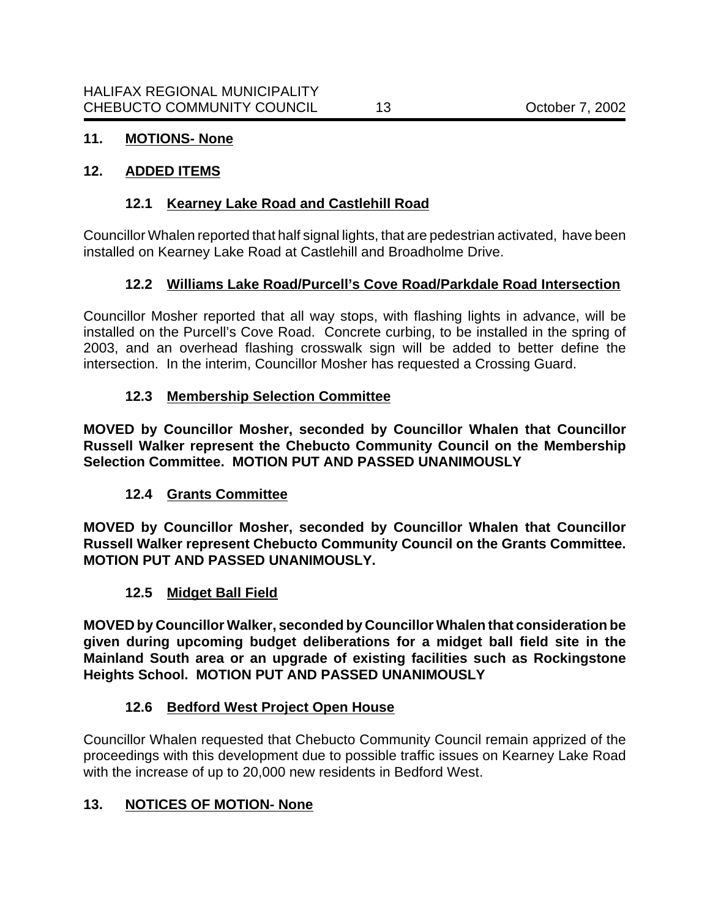# **11. MOTIONS- None**

## **12. ADDED ITEMS**

## **12.1 Kearney Lake Road and Castlehill Road**

Councillor Whalen reported that half signal lights, that are pedestrian activated, have been installed on Kearney Lake Road at Castlehill and Broadholme Drive.

# **12.2 Williams Lake Road/Purcell's Cove Road/Parkdale Road Intersection**

Councillor Mosher reported that all way stops, with flashing lights in advance, will be installed on the Purcell's Cove Road. Concrete curbing, to be installed in the spring of 2003, and an overhead flashing crosswalk sign will be added to better define the intersection. In the interim, Councillor Mosher has requested a Crossing Guard.

## **12.3 Membership Selection Committee**

**MOVED by Councillor Mosher, seconded by Councillor Whalen that Councillor Russell Walker represent the Chebucto Community Council on the Membership Selection Committee. MOTION PUT AND PASSED UNANIMOUSLY**

### **12.4 Grants Committee**

**MOVED by Councillor Mosher, seconded by Councillor Whalen that Councillor Russell Walker represent Chebucto Community Council on the Grants Committee. MOTION PUT AND PASSED UNANIMOUSLY.**

### **12.5 Midget Ball Field**

**MOVED by Councillor Walker, seconded by Councillor Whalen that consideration be given during upcoming budget deliberations for a midget ball field site in the Mainland South area or an upgrade of existing facilities such as Rockingstone Heights School. MOTION PUT AND PASSED UNANIMOUSLY**

### **12.6 Bedford West Project Open House**

Councillor Whalen requested that Chebucto Community Council remain apprized of the proceedings with this development due to possible traffic issues on Kearney Lake Road with the increase of up to 20,000 new residents in Bedford West.

### **13. NOTICES OF MOTION- None**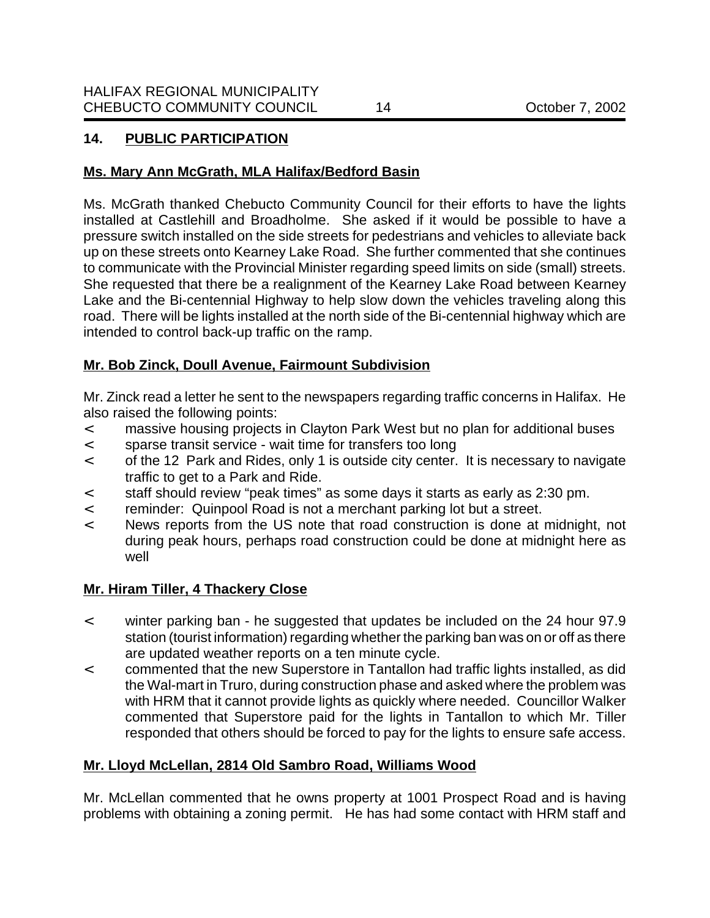# **14. PUBLIC PARTICIPATION**

## **Ms. Mary Ann McGrath, MLA Halifax/Bedford Basin**

Ms. McGrath thanked Chebucto Community Council for their efforts to have the lights installed at Castlehill and Broadholme. She asked if it would be possible to have a pressure switch installed on the side streets for pedestrians and vehicles to alleviate back up on these streets onto Kearney Lake Road. She further commented that she continues to communicate with the Provincial Minister regarding speed limits on side (small) streets. She requested that there be a realignment of the Kearney Lake Road between Kearney Lake and the Bi-centennial Highway to help slow down the vehicles traveling along this road. There will be lights installed at the north side of the Bi-centennial highway which are intended to control back-up traffic on the ramp.

## **Mr. Bob Zinck, Doull Avenue, Fairmount Subdivision**

Mr. Zinck read a letter he sent to the newspapers regarding traffic concerns in Halifax. He also raised the following points:

- < massive housing projects in Clayton Park West but no plan for additional buses
- < sparse transit service wait time for transfers too long
- < of the 12 Park and Rides, only 1 is outside city center. It is necessary to navigate traffic to get to a Park and Ride.
- < staff should review "peak times" as some days it starts as early as 2:30 pm.
- < reminder: Quinpool Road is not a merchant parking lot but a street.
- < News reports from the US note that road construction is done at midnight, not during peak hours, perhaps road construction could be done at midnight here as well

# **Mr. Hiram Tiller, 4 Thackery Close**

- < winter parking ban he suggested that updates be included on the 24 hour 97.9 station (tourist information) regarding whether the parking ban was on or off as there are updated weather reports on a ten minute cycle.
- < commented that the new Superstore in Tantallon had traffic lights installed, as did the Wal-mart in Truro, during construction phase and asked where the problem was with HRM that it cannot provide lights as quickly where needed. Councillor Walker commented that Superstore paid for the lights in Tantallon to which Mr. Tiller responded that others should be forced to pay for the lights to ensure safe access.

# **Mr. Lloyd McLellan, 2814 Old Sambro Road, Williams Wood**

Mr. McLellan commented that he owns property at 1001 Prospect Road and is having problems with obtaining a zoning permit. He has had some contact with HRM staff and